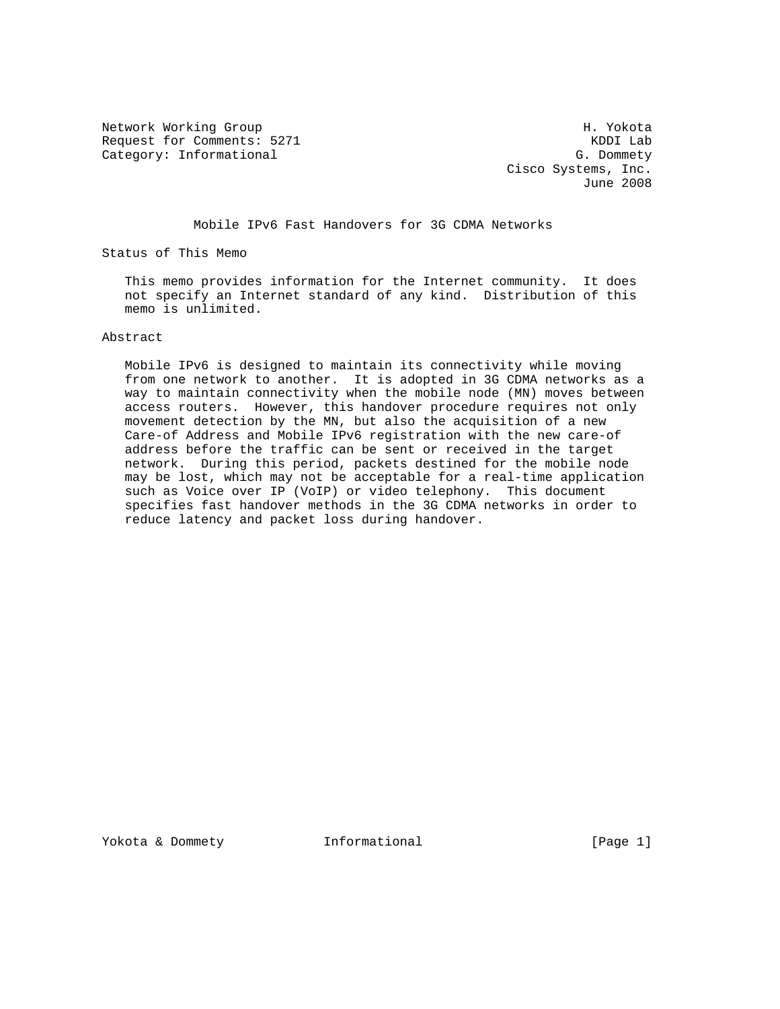Network Working Group Network Working Group H. Yokota Request for Comments: 5271 KDDI Lab Category: Informational G. Dommety

 Cisco Systems, Inc. June 2008

Mobile IPv6 Fast Handovers for 3G CDMA Networks

Status of This Memo

 This memo provides information for the Internet community. It does not specify an Internet standard of any kind. Distribution of this memo is unlimited.

Abstract

 Mobile IPv6 is designed to maintain its connectivity while moving from one network to another. It is adopted in 3G CDMA networks as a way to maintain connectivity when the mobile node (MN) moves between access routers. However, this handover procedure requires not only movement detection by the MN, but also the acquisition of a new Care-of Address and Mobile IPv6 registration with the new care-of address before the traffic can be sent or received in the target network. During this period, packets destined for the mobile node may be lost, which may not be acceptable for a real-time application such as Voice over IP (VoIP) or video telephony. This document specifies fast handover methods in the 3G CDMA networks in order to reduce latency and packet loss during handover.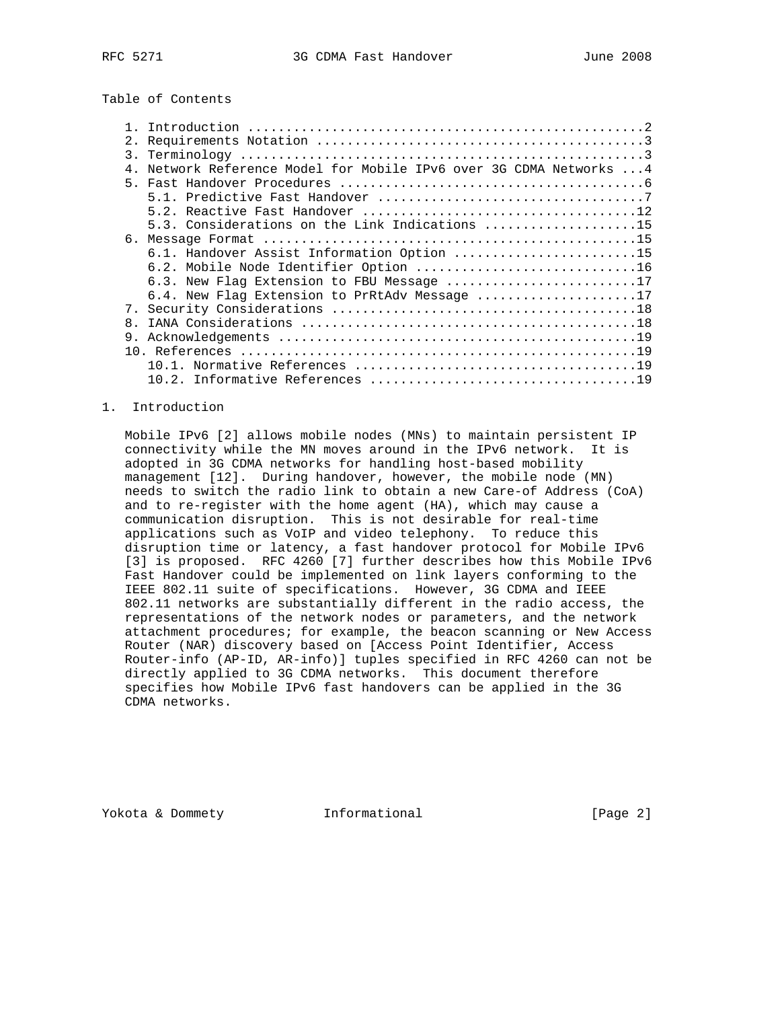# Table of Contents

| 2.             |                                                                  |
|----------------|------------------------------------------------------------------|
|                |                                                                  |
| 4 <sub>1</sub> | Network Reference Model for Mobile IPv6 over 3G CDMA Networks  4 |
|                |                                                                  |
|                |                                                                  |
|                |                                                                  |
|                | 5.3. Considerations on the Link Indications 15                   |
| б.             |                                                                  |
|                | 6.1. Handover Assist Information Option 15                       |
|                | 6.2. Mobile Node Identifier Option 16                            |
|                | 6.3. New Flag Extension to FBU Message 17                        |
|                | 6.4. New Flaq Extension to PrRtAdv Message 17                    |
|                |                                                                  |
| 8 <sub>1</sub> |                                                                  |
| 9.             |                                                                  |
|                |                                                                  |
|                |                                                                  |
|                |                                                                  |

### 1. Introduction

 Mobile IPv6 [2] allows mobile nodes (MNs) to maintain persistent IP connectivity while the MN moves around in the IPv6 network. It is adopted in 3G CDMA networks for handling host-based mobility management [12]. During handover, however, the mobile node (MN) needs to switch the radio link to obtain a new Care-of Address (CoA) and to re-register with the home agent (HA), which may cause a communication disruption. This is not desirable for real-time applications such as VoIP and video telephony. To reduce this disruption time or latency, a fast handover protocol for Mobile IPv6 [3] is proposed. RFC 4260 [7] further describes how this Mobile IPv6 Fast Handover could be implemented on link layers conforming to the IEEE 802.11 suite of specifications. However, 3G CDMA and IEEE 802.11 networks are substantially different in the radio access, the representations of the network nodes or parameters, and the network attachment procedures; for example, the beacon scanning or New Access Router (NAR) discovery based on [Access Point Identifier, Access Router-info (AP-ID, AR-info)] tuples specified in RFC 4260 can not be directly applied to 3G CDMA networks. This document therefore specifies how Mobile IPv6 fast handovers can be applied in the 3G CDMA networks.

Yokota & Dommety **Informational Informational** [Page 2]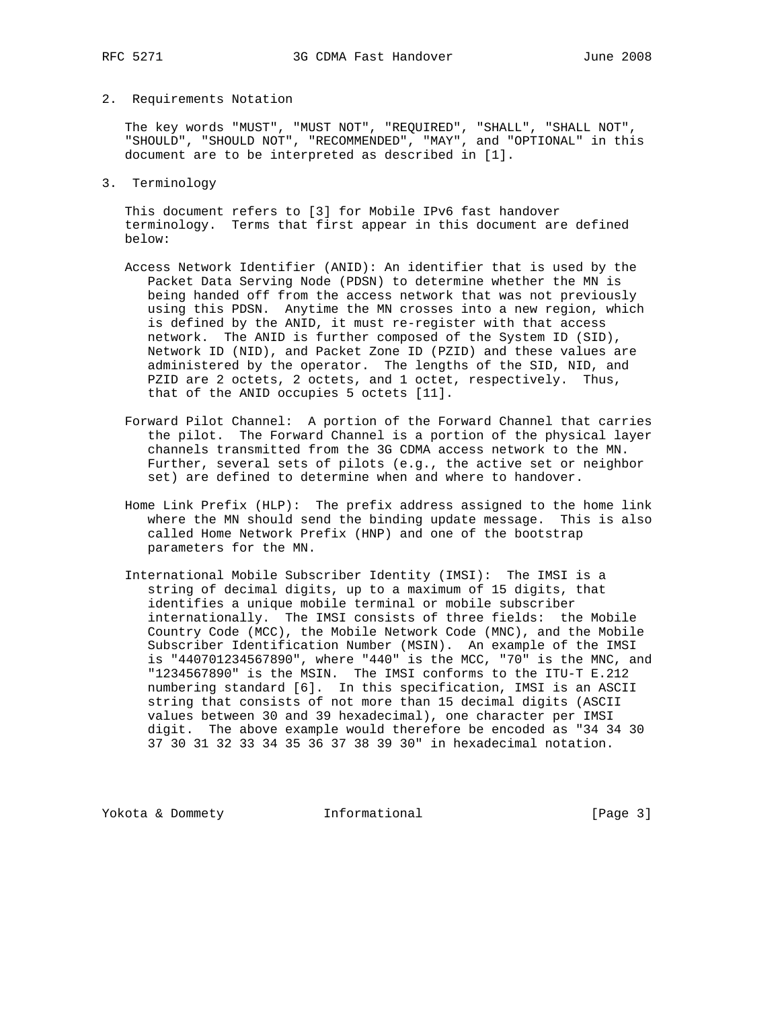### 2. Requirements Notation

 The key words "MUST", "MUST NOT", "REQUIRED", "SHALL", "SHALL NOT", "SHOULD", "SHOULD NOT", "RECOMMENDED", "MAY", and "OPTIONAL" in this document are to be interpreted as described in [1].

3. Terminology

 This document refers to [3] for Mobile IPv6 fast handover terminology. Terms that first appear in this document are defined below:

- Access Network Identifier (ANID): An identifier that is used by the Packet Data Serving Node (PDSN) to determine whether the MN is being handed off from the access network that was not previously using this PDSN. Anytime the MN crosses into a new region, which is defined by the ANID, it must re-register with that access network. The ANID is further composed of the System ID (SID), Network ID (NID), and Packet Zone ID (PZID) and these values are administered by the operator. The lengths of the SID, NID, and PZID are 2 octets, 2 octets, and 1 octet, respectively. Thus, that of the ANID occupies 5 octets [11].
- Forward Pilot Channel: A portion of the Forward Channel that carries the pilot. The Forward Channel is a portion of the physical layer channels transmitted from the 3G CDMA access network to the MN. Further, several sets of pilots (e.g., the active set or neighbor set) are defined to determine when and where to handover.
- Home Link Prefix (HLP): The prefix address assigned to the home link where the MN should send the binding update message. This is also called Home Network Prefix (HNP) and one of the bootstrap parameters for the MN.
- International Mobile Subscriber Identity (IMSI): The IMSI is a string of decimal digits, up to a maximum of 15 digits, that identifies a unique mobile terminal or mobile subscriber internationally. The IMSI consists of three fields: the Mobile Country Code (MCC), the Mobile Network Code (MNC), and the Mobile Subscriber Identification Number (MSIN). An example of the IMSI is "440701234567890", where "440" is the MCC, "70" is the MNC, and "1234567890" is the MSIN. The IMSI conforms to the ITU-T E.212 numbering standard [6]. In this specification, IMSI is an ASCII string that consists of not more than 15 decimal digits (ASCII values between 30 and 39 hexadecimal), one character per IMSI digit. The above example would therefore be encoded as "34 34 30 37 30 31 32 33 34 35 36 37 38 39 30" in hexadecimal notation.

Yokota & Dommety **Informational** [Page 3]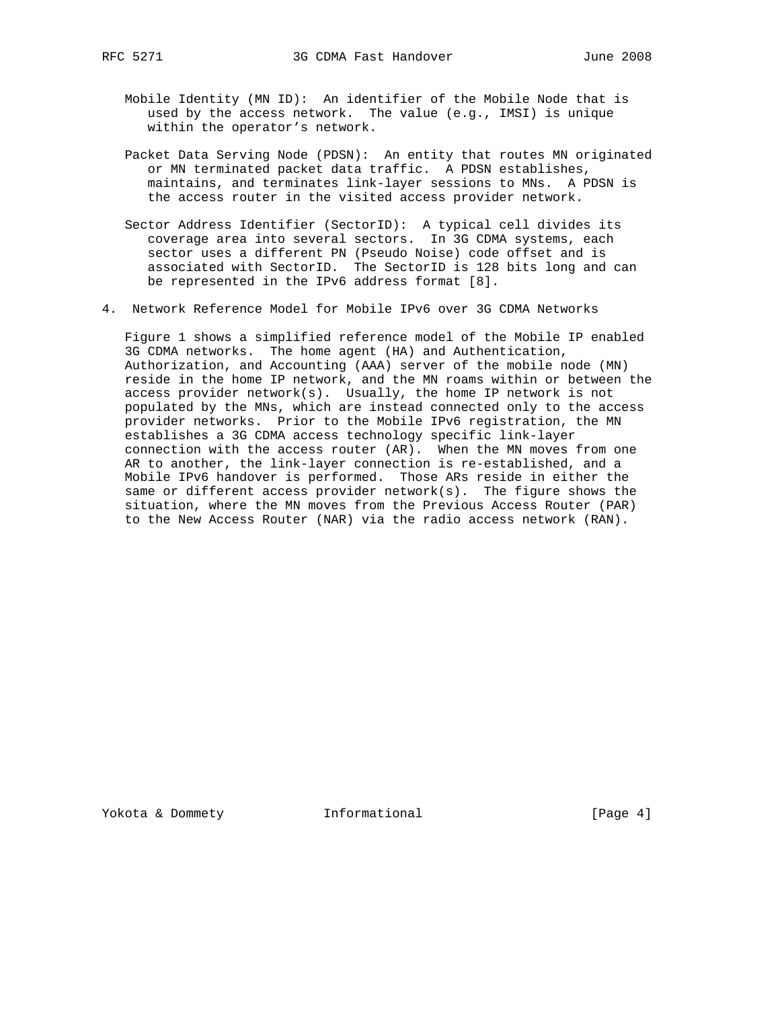- Mobile Identity (MN ID): An identifier of the Mobile Node that is used by the access network. The value (e.g., IMSI) is unique within the operator's network.
- Packet Data Serving Node (PDSN): An entity that routes MN originated or MN terminated packet data traffic. A PDSN establishes, maintains, and terminates link-layer sessions to MNs. A PDSN is the access router in the visited access provider network.
- Sector Address Identifier (SectorID): A typical cell divides its coverage area into several sectors. In 3G CDMA systems, each sector uses a different PN (Pseudo Noise) code offset and is associated with SectorID. The SectorID is 128 bits long and can be represented in the IPv6 address format [8].
- 4. Network Reference Model for Mobile IPv6 over 3G CDMA Networks

 Figure 1 shows a simplified reference model of the Mobile IP enabled 3G CDMA networks. The home agent (HA) and Authentication, Authorization, and Accounting (AAA) server of the mobile node (MN) reside in the home IP network, and the MN roams within or between the access provider network(s). Usually, the home IP network is not populated by the MNs, which are instead connected only to the access provider networks. Prior to the Mobile IPv6 registration, the MN establishes a 3G CDMA access technology specific link-layer connection with the access router (AR). When the MN moves from one AR to another, the link-layer connection is re-established, and a Mobile IPv6 handover is performed. Those ARs reside in either the same or different access provider network(s). The figure shows the situation, where the MN moves from the Previous Access Router (PAR) to the New Access Router (NAR) via the radio access network (RAN).

Yokota & Dommety **Informational Informational** [Page 4]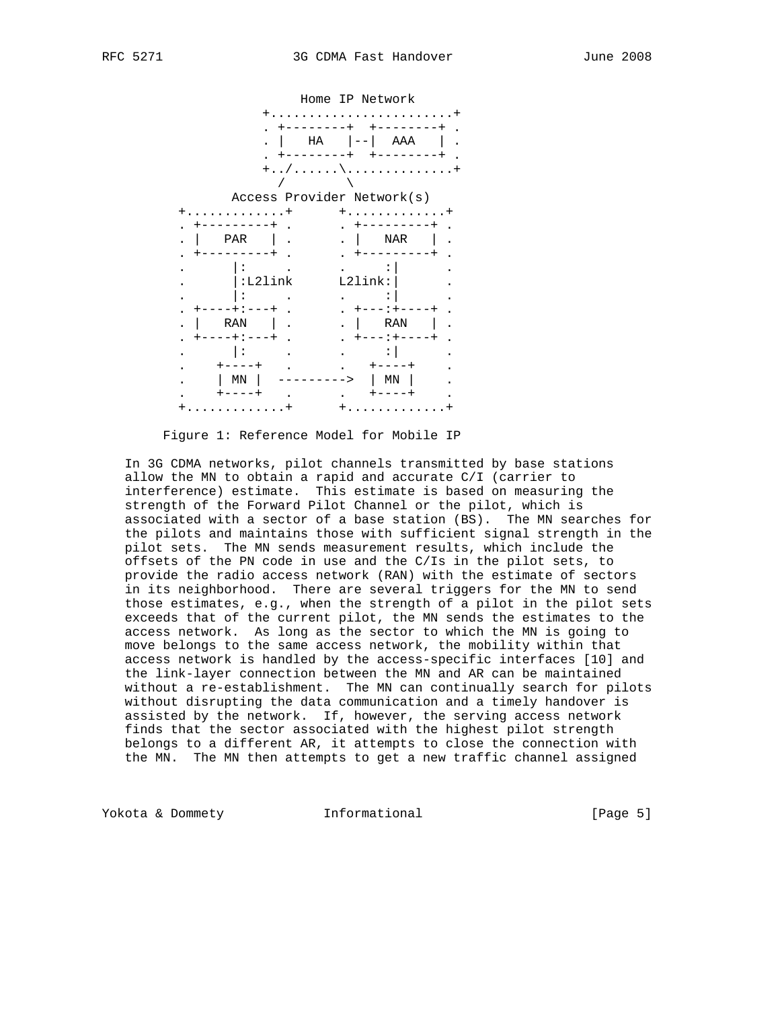

Figure 1: Reference Model for Mobile IP

 In 3G CDMA networks, pilot channels transmitted by base stations allow the MN to obtain a rapid and accurate C/I (carrier to interference) estimate. This estimate is based on measuring the strength of the Forward Pilot Channel or the pilot, which is associated with a sector of a base station (BS). The MN searches for the pilots and maintains those with sufficient signal strength in the pilot sets. The MN sends measurement results, which include the offsets of the PN code in use and the C/Is in the pilot sets, to provide the radio access network (RAN) with the estimate of sectors in its neighborhood. There are several triggers for the MN to send those estimates, e.g., when the strength of a pilot in the pilot sets exceeds that of the current pilot, the MN sends the estimates to the access network. As long as the sector to which the MN is going to move belongs to the same access network, the mobility within that access network is handled by the access-specific interfaces [10] and the link-layer connection between the MN and AR can be maintained without a re-establishment. The MN can continually search for pilots without disrupting the data communication and a timely handover is assisted by the network. If, however, the serving access network finds that the sector associated with the highest pilot strength belongs to a different AR, it attempts to close the connection with the MN. The MN then attempts to get a new traffic channel assigned

Yokota & Dommety **Informational** [Page 5]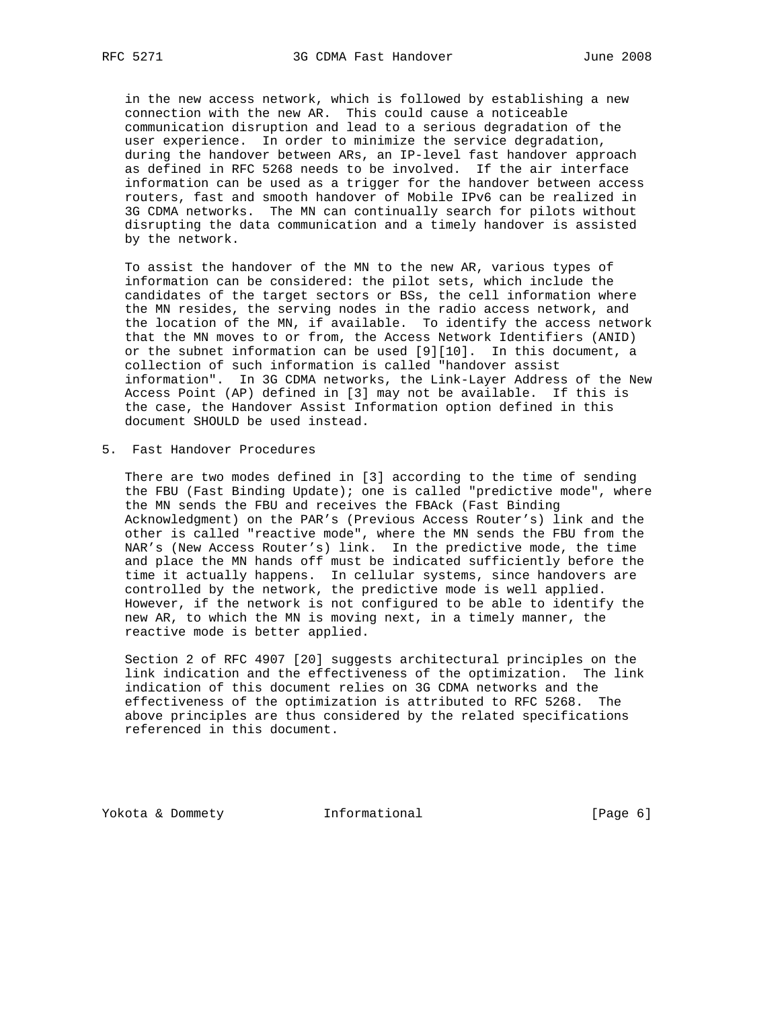in the new access network, which is followed by establishing a new connection with the new AR. This could cause a noticeable communication disruption and lead to a serious degradation of the user experience. In order to minimize the service degradation, during the handover between ARs, an IP-level fast handover approach as defined in RFC 5268 needs to be involved. If the air interface information can be used as a trigger for the handover between access routers, fast and smooth handover of Mobile IPv6 can be realized in 3G CDMA networks. The MN can continually search for pilots without disrupting the data communication and a timely handover is assisted by the network.

 To assist the handover of the MN to the new AR, various types of information can be considered: the pilot sets, which include the candidates of the target sectors or BSs, the cell information where the MN resides, the serving nodes in the radio access network, and the location of the MN, if available. To identify the access network that the MN moves to or from, the Access Network Identifiers (ANID) or the subnet information can be used [9][10]. In this document, a collection of such information is called "handover assist information". In 3G CDMA networks, the Link-Layer Address of the New Access Point (AP) defined in [3] may not be available. If this is the case, the Handover Assist Information option defined in this document SHOULD be used instead.

5. Fast Handover Procedures

 There are two modes defined in [3] according to the time of sending the FBU (Fast Binding Update); one is called "predictive mode", where the MN sends the FBU and receives the FBAck (Fast Binding Acknowledgment) on the PAR's (Previous Access Router's) link and the other is called "reactive mode", where the MN sends the FBU from the NAR's (New Access Router's) link. In the predictive mode, the time and place the MN hands off must be indicated sufficiently before the time it actually happens. In cellular systems, since handovers are controlled by the network, the predictive mode is well applied. However, if the network is not configured to be able to identify the new AR, to which the MN is moving next, in a timely manner, the reactive mode is better applied.

 Section 2 of RFC 4907 [20] suggests architectural principles on the link indication and the effectiveness of the optimization. The link indication of this document relies on 3G CDMA networks and the effectiveness of the optimization is attributed to RFC 5268. The above principles are thus considered by the related specifications referenced in this document.

Yokota & Dommety **Informational Informational** [Page 6]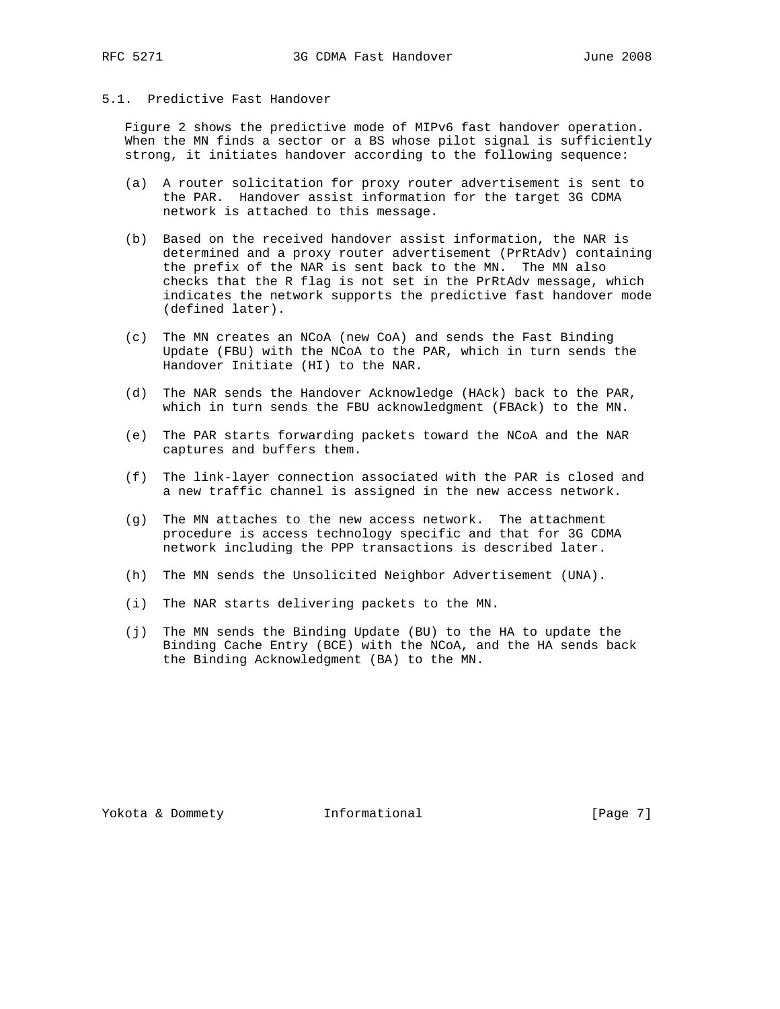## 5.1. Predictive Fast Handover

 Figure 2 shows the predictive mode of MIPv6 fast handover operation. When the MN finds a sector or a BS whose pilot signal is sufficiently strong, it initiates handover according to the following sequence:

- (a) A router solicitation for proxy router advertisement is sent to the PAR. Handover assist information for the target 3G CDMA network is attached to this message.
- (b) Based on the received handover assist information, the NAR is determined and a proxy router advertisement (PrRtAdv) containing the prefix of the NAR is sent back to the MN. The MN also checks that the R flag is not set in the PrRtAdv message, which indicates the network supports the predictive fast handover mode (defined later).
- (c) The MN creates an NCoA (new CoA) and sends the Fast Binding Update (FBU) with the NCoA to the PAR, which in turn sends the Handover Initiate (HI) to the NAR.
- (d) The NAR sends the Handover Acknowledge (HAck) back to the PAR, which in turn sends the FBU acknowledgment (FBAck) to the MN.
- (e) The PAR starts forwarding packets toward the NCoA and the NAR captures and buffers them.
- (f) The link-layer connection associated with the PAR is closed and a new traffic channel is assigned in the new access network.
- (g) The MN attaches to the new access network. The attachment procedure is access technology specific and that for 3G CDMA network including the PPP transactions is described later.
- (h) The MN sends the Unsolicited Neighbor Advertisement (UNA).
- (i) The NAR starts delivering packets to the MN.
- (j) The MN sends the Binding Update (BU) to the HA to update the Binding Cache Entry (BCE) with the NCoA, and the HA sends back the Binding Acknowledgment (BA) to the MN.

Yokota & Dommety **Informational Informational** [Page 7]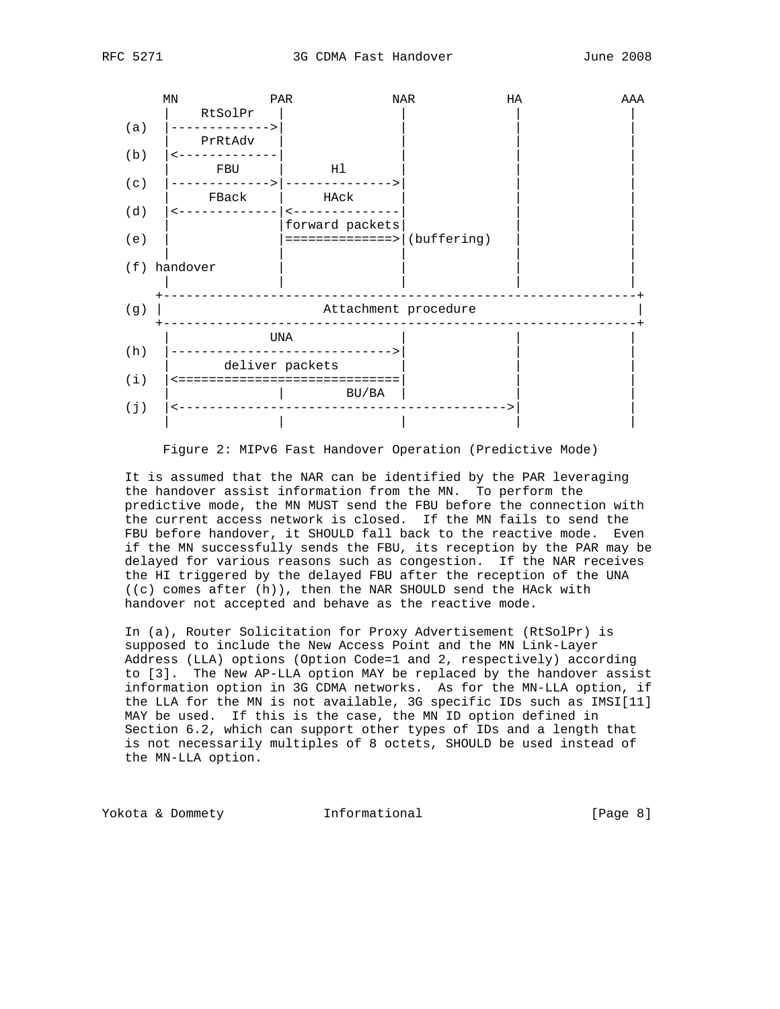



Figure 2: MIPv6 Fast Handover Operation (Predictive Mode)

 It is assumed that the NAR can be identified by the PAR leveraging the handover assist information from the MN. To perform the predictive mode, the MN MUST send the FBU before the connection with the current access network is closed. If the MN fails to send the FBU before handover, it SHOULD fall back to the reactive mode. Even if the MN successfully sends the FBU, its reception by the PAR may be delayed for various reasons such as congestion. If the NAR receives the HI triggered by the delayed FBU after the reception of the UNA ((c) comes after (h)), then the NAR SHOULD send the HAck with handover not accepted and behave as the reactive mode.

 In (a), Router Solicitation for Proxy Advertisement (RtSolPr) is supposed to include the New Access Point and the MN Link-Layer Address (LLA) options (Option Code=1 and 2, respectively) according to [3]. The New AP-LLA option MAY be replaced by the handover assist information option in 3G CDMA networks. As for the MN-LLA option, if the LLA for the MN is not available, 3G specific IDs such as IMSI[11] MAY be used. If this is the case, the MN ID option defined in Section 6.2, which can support other types of IDs and a length that is not necessarily multiples of 8 octets, SHOULD be used instead of the MN-LLA option.

Yokota & Dommety **Informational Informational** [Page 8]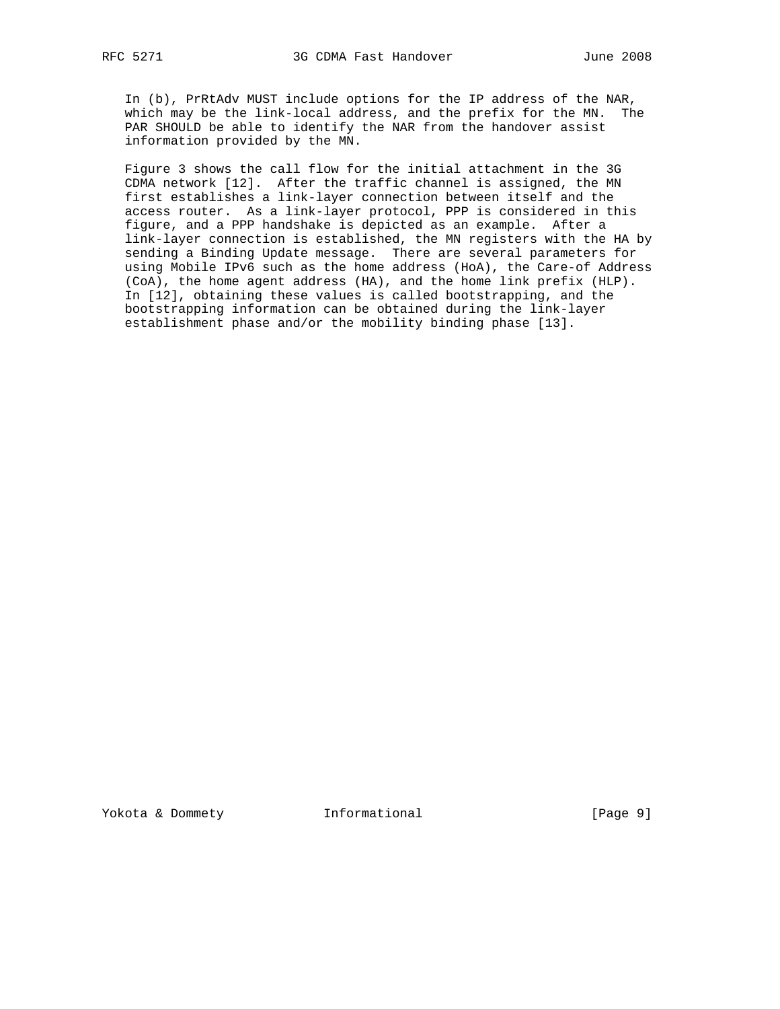In (b), PrRtAdv MUST include options for the IP address of the NAR, which may be the link-local address, and the prefix for the MN. The PAR SHOULD be able to identify the NAR from the handover assist information provided by the MN.

 Figure 3 shows the call flow for the initial attachment in the 3G CDMA network [12]. After the traffic channel is assigned, the MN first establishes a link-layer connection between itself and the access router. As a link-layer protocol, PPP is considered in this figure, and a PPP handshake is depicted as an example. After a link-layer connection is established, the MN registers with the HA by sending a Binding Update message. There are several parameters for using Mobile IPv6 such as the home address (HoA), the Care-of Address (CoA), the home agent address (HA), and the home link prefix (HLP). In [12], obtaining these values is called bootstrapping, and the bootstrapping information can be obtained during the link-layer establishment phase and/or the mobility binding phase [13].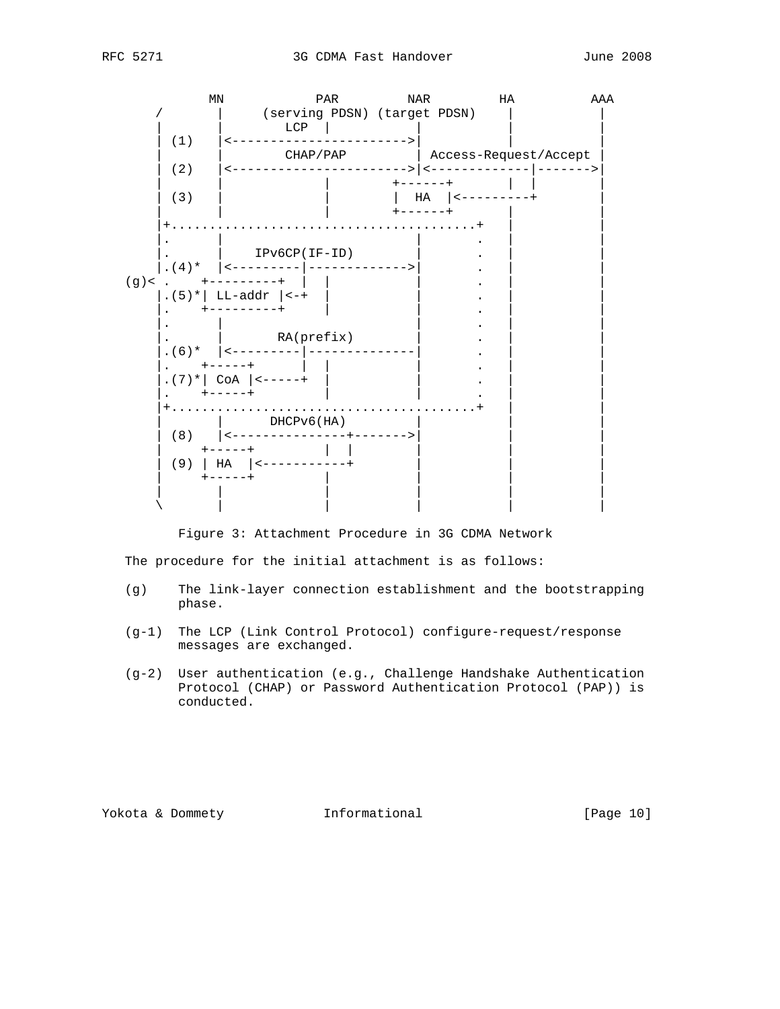

Figure 3: Attachment Procedure in 3G CDMA Network

The procedure for the initial attachment is as follows:

- (g) The link-layer connection establishment and the bootstrapping phase.
- (g-1) The LCP (Link Control Protocol) configure-request/response messages are exchanged.
- (g-2) User authentication (e.g., Challenge Handshake Authentication Protocol (CHAP) or Password Authentication Protocol (PAP)) is conducted.

Yokota & Dommety **Informational** [Page 10]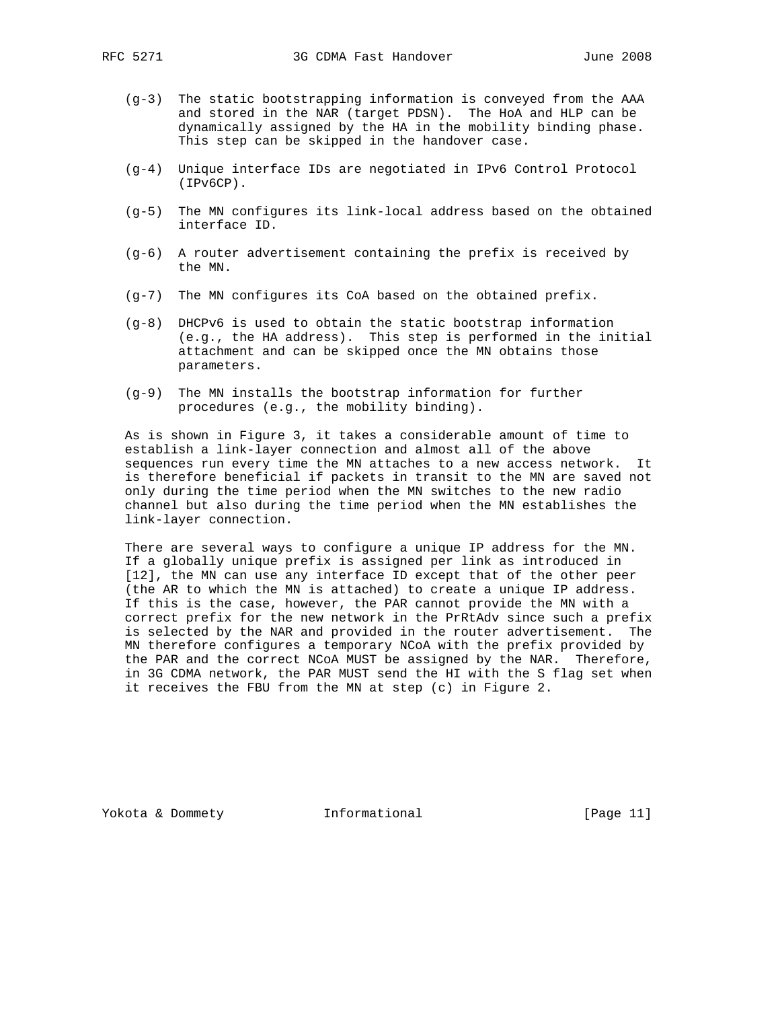- (g-3) The static bootstrapping information is conveyed from the AAA and stored in the NAR (target PDSN). The HoA and HLP can be dynamically assigned by the HA in the mobility binding phase. This step can be skipped in the handover case.
- (g-4) Unique interface IDs are negotiated in IPv6 Control Protocol (IPv6CP).
- (g-5) The MN configures its link-local address based on the obtained interface ID.
- (g-6) A router advertisement containing the prefix is received by the MN.
- (g-7) The MN configures its CoA based on the obtained prefix.
- (g-8) DHCPv6 is used to obtain the static bootstrap information (e.g., the HA address). This step is performed in the initial attachment and can be skipped once the MN obtains those parameters.
- (g-9) The MN installs the bootstrap information for further procedures (e.g., the mobility binding).

 As is shown in Figure 3, it takes a considerable amount of time to establish a link-layer connection and almost all of the above sequences run every time the MN attaches to a new access network. It is therefore beneficial if packets in transit to the MN are saved not only during the time period when the MN switches to the new radio channel but also during the time period when the MN establishes the link-layer connection.

 There are several ways to configure a unique IP address for the MN. If a globally unique prefix is assigned per link as introduced in [12], the MN can use any interface ID except that of the other peer (the AR to which the MN is attached) to create a unique IP address. If this is the case, however, the PAR cannot provide the MN with a correct prefix for the new network in the PrRtAdv since such a prefix is selected by the NAR and provided in the router advertisement. The MN therefore configures a temporary NCoA with the prefix provided by the PAR and the correct NCoA MUST be assigned by the NAR. Therefore, in 3G CDMA network, the PAR MUST send the HI with the S flag set when it receives the FBU from the MN at step (c) in Figure 2.

Yokota & Dommety **Informational** [Page 11]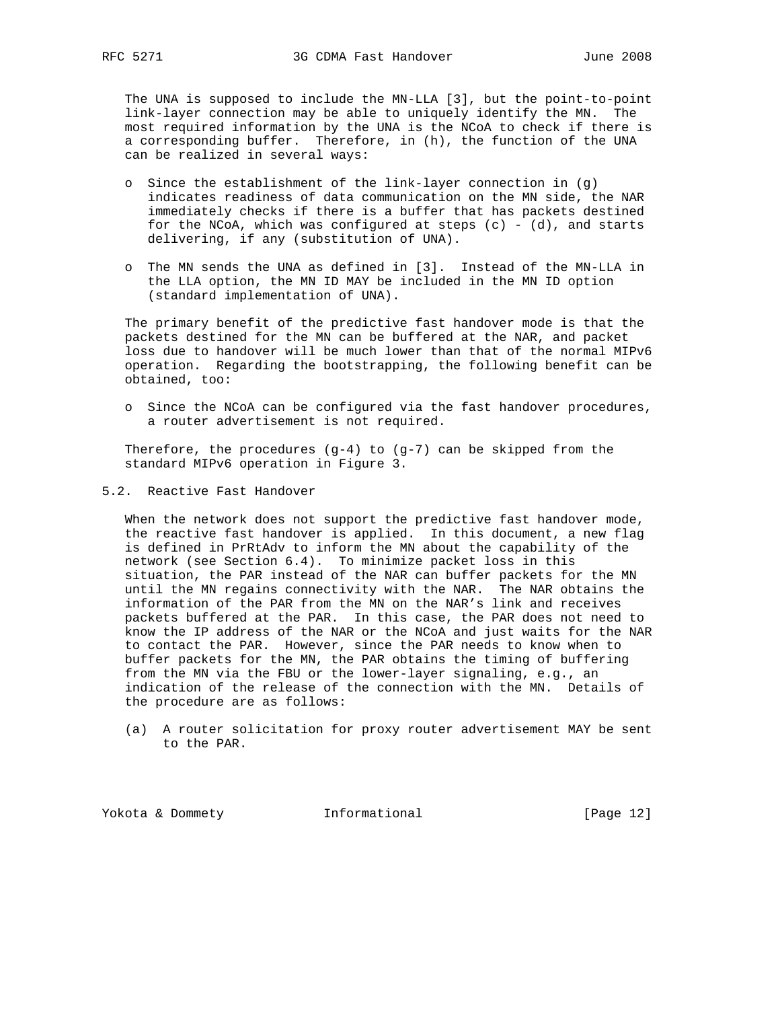The UNA is supposed to include the MN-LLA [3], but the point-to-point link-layer connection may be able to uniquely identify the MN. The most required information by the UNA is the NCoA to check if there is a corresponding buffer. Therefore, in (h), the function of the UNA can be realized in several ways:

- o Since the establishment of the link-layer connection in (g) indicates readiness of data communication on the MN side, the NAR immediately checks if there is a buffer that has packets destined for the NCoA, which was configured at steps  $(c) - (d)$ , and starts delivering, if any (substitution of UNA).
- o The MN sends the UNA as defined in [3]. Instead of the MN-LLA in the LLA option, the MN ID MAY be included in the MN ID option (standard implementation of UNA).

 The primary benefit of the predictive fast handover mode is that the packets destined for the MN can be buffered at the NAR, and packet loss due to handover will be much lower than that of the normal MIPv6 operation. Regarding the bootstrapping, the following benefit can be obtained, too:

 o Since the NCoA can be configured via the fast handover procedures, a router advertisement is not required.

Therefore, the procedures  $(g-4)$  to  $(g-7)$  can be skipped from the standard MIPv6 operation in Figure 3.

5.2. Reactive Fast Handover

 When the network does not support the predictive fast handover mode, the reactive fast handover is applied. In this document, a new flag is defined in PrRtAdv to inform the MN about the capability of the network (see Section 6.4). To minimize packet loss in this situation, the PAR instead of the NAR can buffer packets for the MN until the MN regains connectivity with the NAR. The NAR obtains the information of the PAR from the MN on the NAR's link and receives packets buffered at the PAR. In this case, the PAR does not need to know the IP address of the NAR or the NCoA and just waits for the NAR to contact the PAR. However, since the PAR needs to know when to buffer packets for the MN, the PAR obtains the timing of buffering from the MN via the FBU or the lower-layer signaling, e.g., an indication of the release of the connection with the MN. Details of the procedure are as follows:

 (a) A router solicitation for proxy router advertisement MAY be sent to the PAR.

Yokota & Dommety **Informational** [Page 12]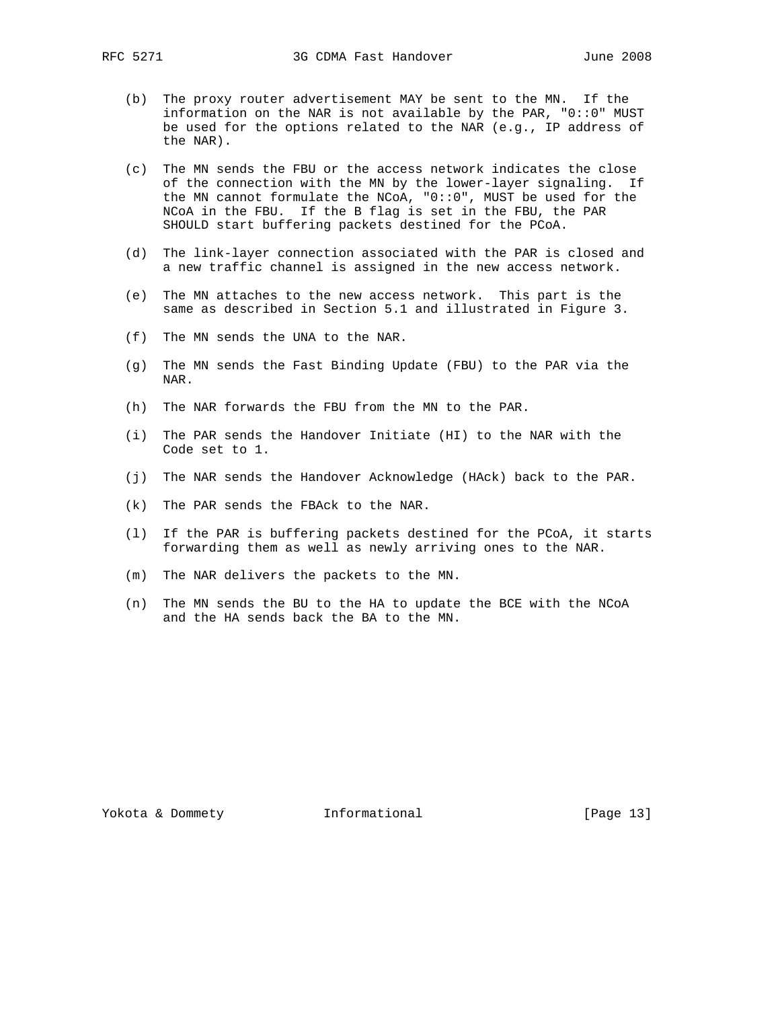- (b) The proxy router advertisement MAY be sent to the MN. If the information on the NAR is not available by the PAR, "0::0" MUST be used for the options related to the NAR (e.g., IP address of the NAR).
- (c) The MN sends the FBU or the access network indicates the close of the connection with the MN by the lower-layer signaling. If the MN cannot formulate the NCoA, "0::0", MUST be used for the NCoA in the FBU. If the B flag is set in the FBU, the PAR SHOULD start buffering packets destined for the PCoA.
- (d) The link-layer connection associated with the PAR is closed and a new traffic channel is assigned in the new access network.
- (e) The MN attaches to the new access network. This part is the same as described in Section 5.1 and illustrated in Figure 3.
- (f) The MN sends the UNA to the NAR.
- (g) The MN sends the Fast Binding Update (FBU) to the PAR via the NAR.
- (h) The NAR forwards the FBU from the MN to the PAR.
- (i) The PAR sends the Handover Initiate (HI) to the NAR with the Code set to 1.
- (j) The NAR sends the Handover Acknowledge (HAck) back to the PAR.
- (k) The PAR sends the FBAck to the NAR.
- (l) If the PAR is buffering packets destined for the PCoA, it starts forwarding them as well as newly arriving ones to the NAR.
- (m) The NAR delivers the packets to the MN.
- (n) The MN sends the BU to the HA to update the BCE with the NCoA and the HA sends back the BA to the MN.

Yokota & Dommety **Informational** [Page 13]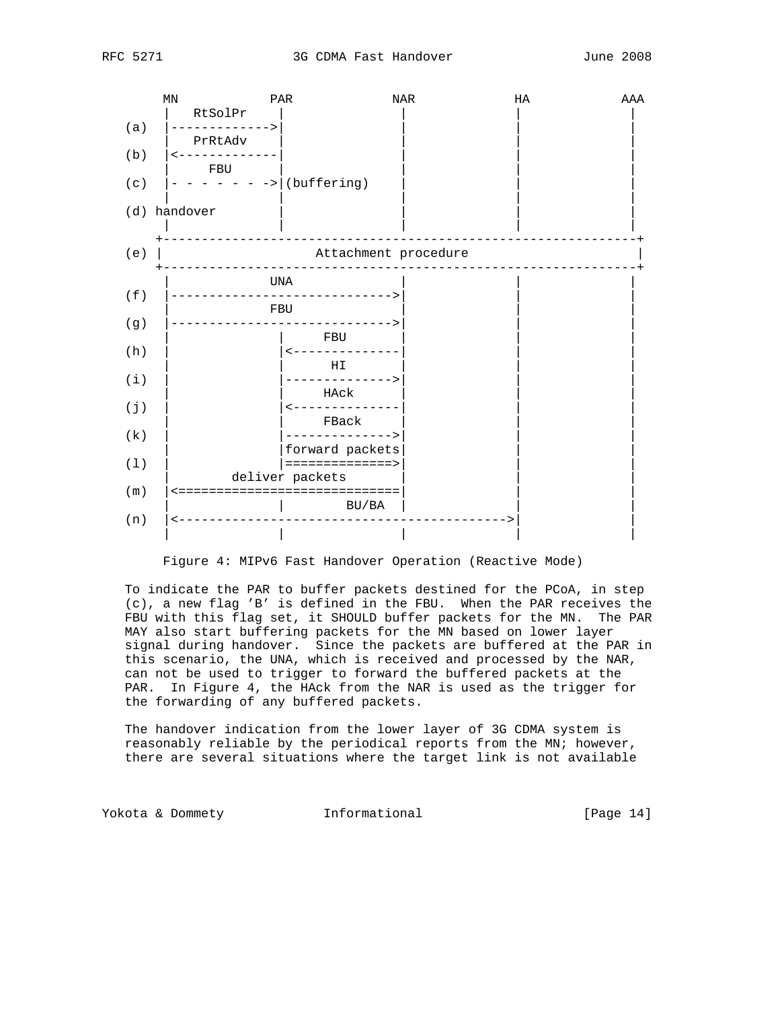

Figure 4: MIPv6 Fast Handover Operation (Reactive Mode)

 To indicate the PAR to buffer packets destined for the PCoA, in step (c), a new flag 'B' is defined in the FBU. When the PAR receives the FBU with this flag set, it SHOULD buffer packets for the MN. The PAR MAY also start buffering packets for the MN based on lower layer signal during handover. Since the packets are buffered at the PAR in this scenario, the UNA, which is received and processed by the NAR, can not be used to trigger to forward the buffered packets at the PAR. In Figure 4, the HAck from the NAR is used as the trigger for the forwarding of any buffered packets.

 The handover indication from the lower layer of 3G CDMA system is reasonably reliable by the periodical reports from the MN; however, there are several situations where the target link is not available

Yokota & Dommety **Informational** [Page 14]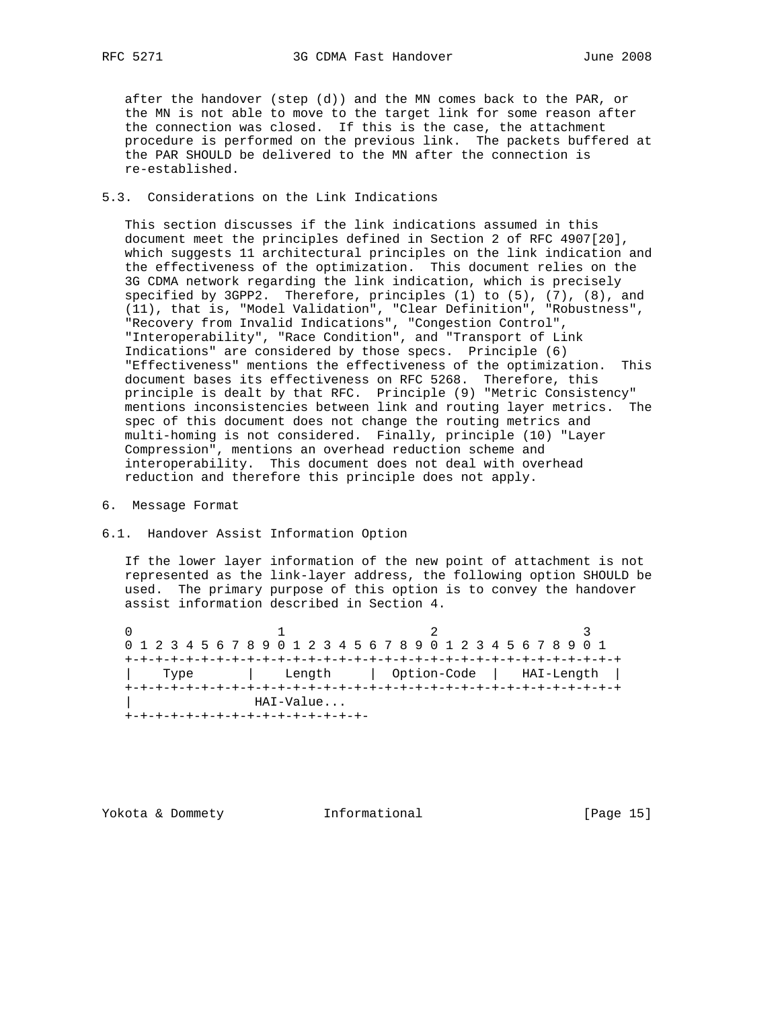after the handover (step (d)) and the MN comes back to the PAR, or the MN is not able to move to the target link for some reason after the connection was closed. If this is the case, the attachment procedure is performed on the previous link. The packets buffered at the PAR SHOULD be delivered to the MN after the connection is re-established.

### 5.3. Considerations on the Link Indications

 This section discusses if the link indications assumed in this document meet the principles defined in Section 2 of RFC 4907[20], which suggests 11 architectural principles on the link indication and the effectiveness of the optimization. This document relies on the 3G CDMA network regarding the link indication, which is precisely specified by 3GPP2. Therefore, principles (1) to (5), (7), (8), and (11), that is, "Model Validation", "Clear Definition", "Robustness", "Recovery from Invalid Indications", "Congestion Control", "Interoperability", "Race Condition", and "Transport of Link Indications" are considered by those specs. Principle (6) "Effectiveness" mentions the effectiveness of the optimization. This document bases its effectiveness on RFC 5268. Therefore, this principle is dealt by that RFC. Principle (9) "Metric Consistency" mentions inconsistencies between link and routing layer metrics. The spec of this document does not change the routing metrics and multi-homing is not considered. Finally, principle (10) "Layer Compression", mentions an overhead reduction scheme and interoperability. This document does not deal with overhead reduction and therefore this principle does not apply.

- 6. Message Format
- 6.1. Handover Assist Information Option

 If the lower layer information of the new point of attachment is not represented as the link-layer address, the following option SHOULD be used. The primary purpose of this option is to convey the handover assist information described in Section 4.

0  $1$   $2$   $3$  0 1 2 3 4 5 6 7 8 9 0 1 2 3 4 5 6 7 8 9 0 1 2 3 4 5 6 7 8 9 0 1 +-+-+-+-+-+-+-+-+-+-+-+-+-+-+-+-+-+-+-+-+-+-+-+-+-+-+-+-+-+-+-+-+ | Type | Length | Option-Code | HAI-Length | +-+-+-+-+-+-+-+-+-+-+-+-+-+-+-+-+-+-+-+-+-+-+-+-+-+-+-+-+-+-+-+-+ | HAI-Value... +-+-+-+-+-+-+-+-+-+-+-+-+-+-+-+-

Yokota & Dommety **Informational** [Page 15]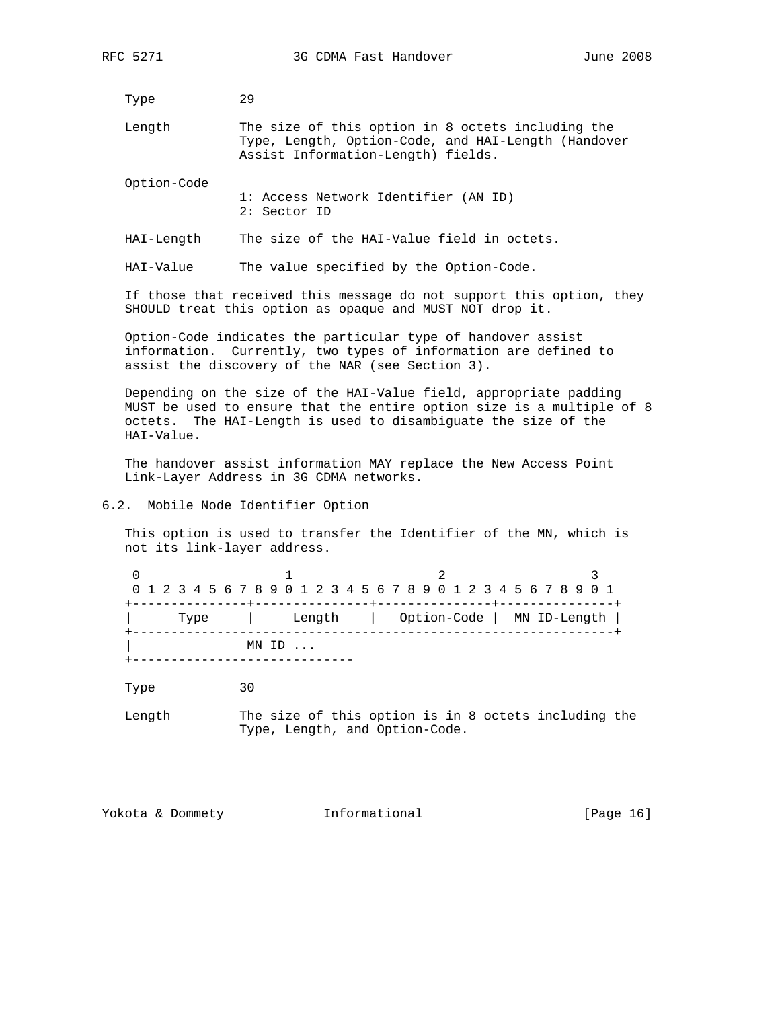Type 29

 Length The size of this option in 8 octets including the Type, Length, Option-Code, and HAI-Length (Handover Assist Information-Length) fields.

Option-Code

- 1: Access Network Identifier (AN ID) 2: Sector ID
- HAI-Length The size of the HAI-Value field in octets.

HAI-Value The value specified by the Option-Code.

 If those that received this message do not support this option, they SHOULD treat this option as opaque and MUST NOT drop it.

 Option-Code indicates the particular type of handover assist information. Currently, two types of information are defined to assist the discovery of the NAR (see Section 3).

 Depending on the size of the HAI-Value field, appropriate padding MUST be used to ensure that the entire option size is a multiple of 8 octets. The HAI-Length is used to disambiguate the size of the HAI-Value.

 The handover assist information MAY replace the New Access Point Link-Layer Address in 3G CDMA networks.

#### 6.2. Mobile Node Identifier Option

 This option is used to transfer the Identifier of the MN, which is not its link-layer address.

|                  |  |  |  |  |  |  |  |        |  |  |  |  |  |  |  |                            |  |  |  |  |  |  |  |  |  |  |  |  | 0 1 2 3 4 5 6 7 8 9 0 1 2 3 4 5 6 7 8 9 0 1 2 3 4 5 6 7 8 9 0 1 |  |
|------------------|--|--|--|--|--|--|--|--------|--|--|--|--|--|--|--|----------------------------|--|--|--|--|--|--|--|--|--|--|--|--|-----------------------------------------------------------------|--|
| Type             |  |  |  |  |  |  |  | Length |  |  |  |  |  |  |  | Option-Code   MN ID-Length |  |  |  |  |  |  |  |  |  |  |  |  |                                                                 |  |
| $MN$ ID $\ldots$ |  |  |  |  |  |  |  |        |  |  |  |  |  |  |  |                            |  |  |  |  |  |  |  |  |  |  |  |  |                                                                 |  |

Type 30

 Length The size of this option is in 8 octets including the Type, Length, and Option-Code.

Yokota & Dommety **Informational** [Page 16]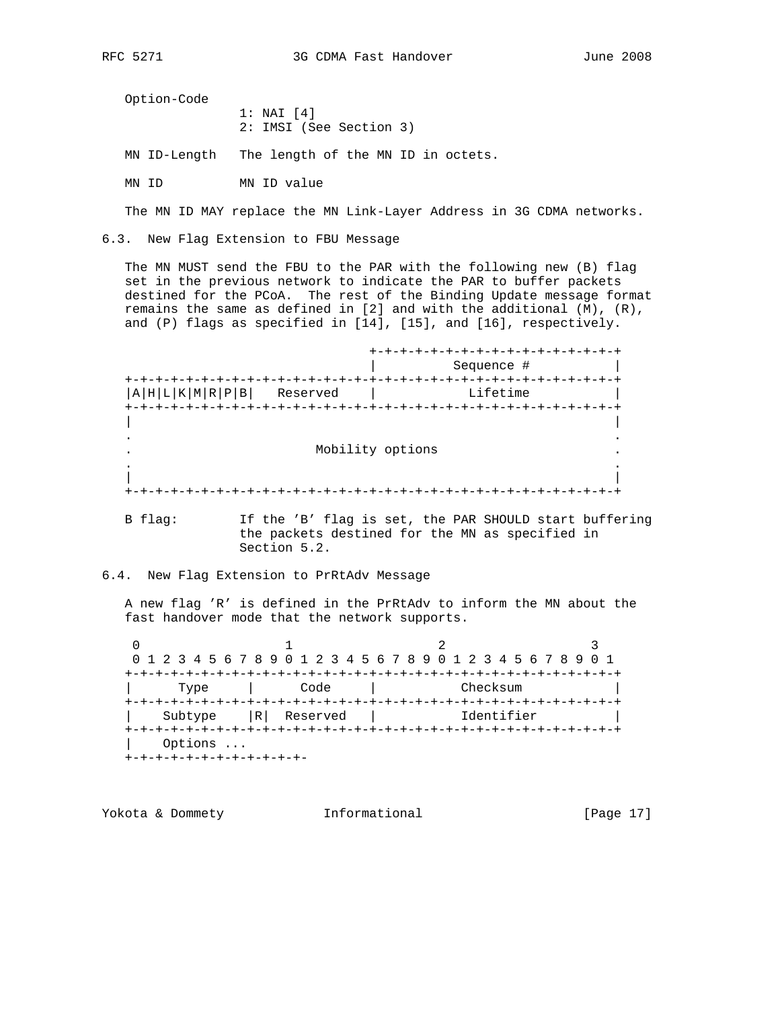Option-Code

 1: NAI [4] 2: IMSI (See Section 3)

MN ID-Length The length of the MN ID in octets.

MN ID MN ID value

The MN ID MAY replace the MN Link-Layer Address in 3G CDMA networks.

6.3. New Flag Extension to FBU Message

 The MN MUST send the FBU to the PAR with the following new (B) flag set in the previous network to indicate the PAR to buffer packets destined for the PCoA. The rest of the Binding Update message format remains the same as defined in [2] and with the additional (M), (R), and (P) flags as specified in [14], [15], and [16], respectively.

 +-+-+-+-+-+-+-+-+-+-+-+-+-+-+-+-+ | Sequence # | +-+-+-+-+-+-+-+-+-+-+-+-+-+-+-+-+-+-+-+-+-+-+-+-+-+-+-+-+-+-+-+-+  $|A|H|L|K|M|R|P|B|$  Reserved  $|$  Lifetime +-+-+-+-+-+-+-+-+-+-+-+-+-+-+-+-+-+-+-+-+-+-+-+-+-+-+-+-+-+-+-+-+ | | . . . Mobility options . . . | | +-+-+-+-+-+-+-+-+-+-+-+-+-+-+-+-+-+-+-+-+-+-+-+-+-+-+-+-+-+-+-+-+

 B flag: If the 'B' flag is set, the PAR SHOULD start buffering the packets destined for the MN as specified in Section 5.2.

6.4. New Flag Extension to PrRtAdv Message

 A new flag 'R' is defined in the PrRtAdv to inform the MN about the fast handover mode that the network supports.

0  $1$  2 3 0 1 2 3 4 5 6 7 8 9 0 1 2 3 4 5 6 7 8 9 0 1 2 3 4 5 6 7 8 9 0 1 +-+-+-+-+-+-+-+-+-+-+-+-+-+-+-+-+-+-+-+-+-+-+-+-+-+-+-+-+-+-+-+-+ | Type | Code | Checksum | +-+-+-+-+-+-+-+-+-+-+-+-+-+-+-+-+-+-+-+-+-+-+-+-+-+-+-+-+-+-+-+-+ | Subtype |R| Reserved | Identifier | +-+-+-+-+-+-+-+-+-+-+-+-+-+-+-+-+-+-+-+-+-+-+-+-+-+-+-+-+-+-+-+-+ Options ... +-+-+-+-+-+-+-+-+-+-+-+-

Yokota & Dommety **Informational** [Page 17]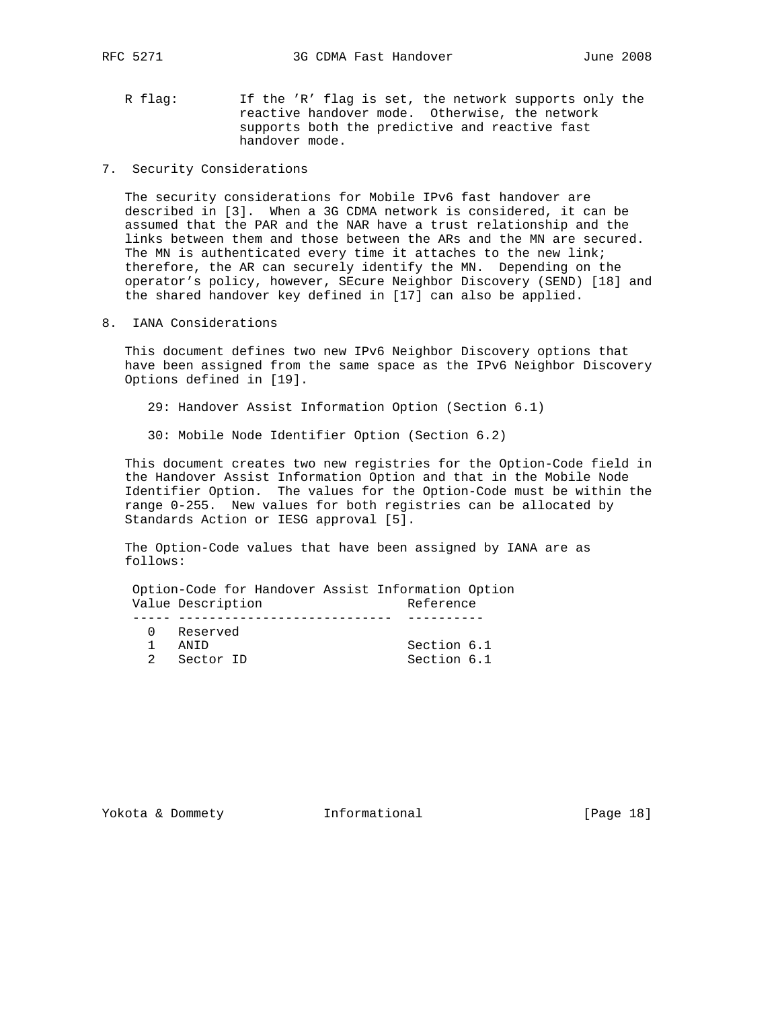- R flag: If the 'R' flag is set, the network supports only the reactive handover mode. Otherwise, the network supports both the predictive and reactive fast handover mode.
- 7. Security Considerations

 The security considerations for Mobile IPv6 fast handover are described in [3]. When a 3G CDMA network is considered, it can be assumed that the PAR and the NAR have a trust relationship and the links between them and those between the ARs and the MN are secured. The MN is authenticated every time it attaches to the new link; therefore, the AR can securely identify the MN. Depending on the operator's policy, however, SEcure Neighbor Discovery (SEND) [18] and the shared handover key defined in [17] can also be applied.

8. IANA Considerations

 This document defines two new IPv6 Neighbor Discovery options that have been assigned from the same space as the IPv6 Neighbor Discovery Options defined in [19].

- 29: Handover Assist Information Option (Section 6.1)
- 30: Mobile Node Identifier Option (Section 6.2)

 This document creates two new registries for the Option-Code field in the Handover Assist Information Option and that in the Mobile Node Identifier Option. The values for the Option-Code must be within the range 0-255. New values for both registries can be allocated by Standards Action or IESG approval [5].

 The Option-Code values that have been assigned by IANA are as follows:

 Option-Code for Handover Assist Information Option Value Description and Reference ----- ---------------------------- ---------- 0 Reserved 1 ANID Section 6.1 2 Sector ID Section 6.1

Yokota & Dommety **Informational** [Page 18]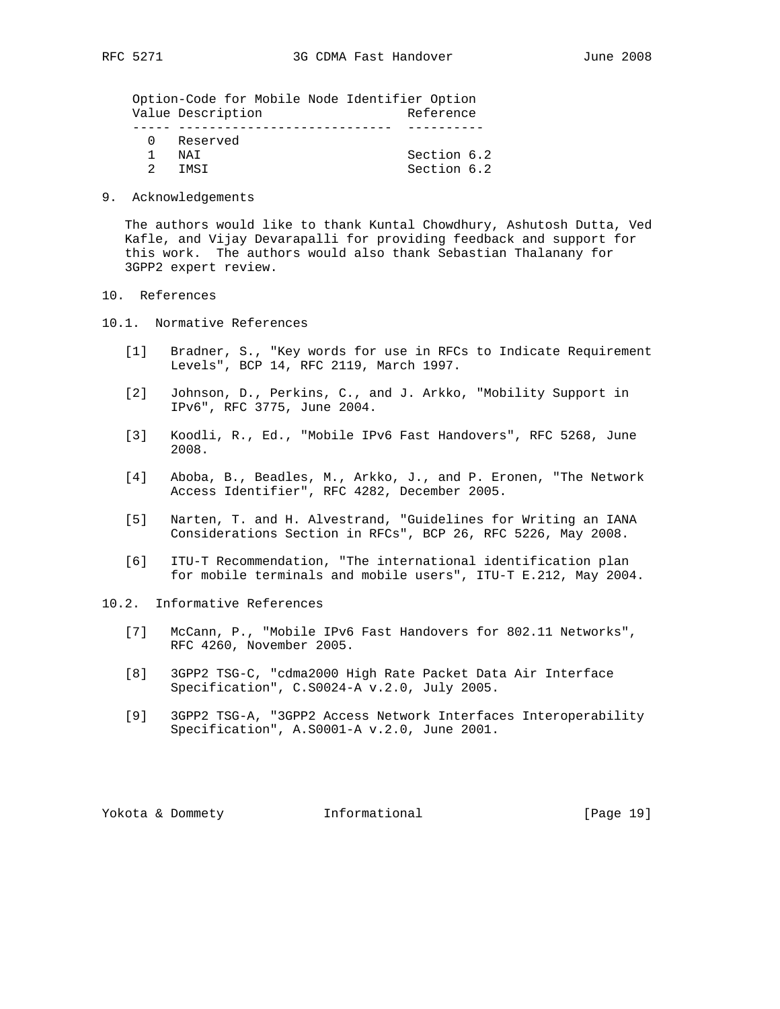Option-Code for Mobile Node Identifier Option Value Description and Reference ----- ---------------------------- ---------- 0 Reserved 1 NAI Section 6.2 2 IMSI Section 6.2

9. Acknowledgements

 The authors would like to thank Kuntal Chowdhury, Ashutosh Dutta, Ved Kafle, and Vijay Devarapalli for providing feedback and support for this work. The authors would also thank Sebastian Thalanany for 3GPP2 expert review.

- 10. References
- 10.1. Normative References
	- [1] Bradner, S., "Key words for use in RFCs to Indicate Requirement Levels", BCP 14, RFC 2119, March 1997.
	- [2] Johnson, D., Perkins, C., and J. Arkko, "Mobility Support in IPv6", RFC 3775, June 2004.
	- [3] Koodli, R., Ed., "Mobile IPv6 Fast Handovers", RFC 5268, June 2008.
	- [4] Aboba, B., Beadles, M., Arkko, J., and P. Eronen, "The Network Access Identifier", RFC 4282, December 2005.
	- [5] Narten, T. and H. Alvestrand, "Guidelines for Writing an IANA Considerations Section in RFCs", BCP 26, RFC 5226, May 2008.
	- [6] ITU-T Recommendation, "The international identification plan for mobile terminals and mobile users", ITU-T E.212, May 2004.
- 10.2. Informative References
	- [7] McCann, P., "Mobile IPv6 Fast Handovers for 802.11 Networks", RFC 4260, November 2005.
	- [8] 3GPP2 TSG-C, "cdma2000 High Rate Packet Data Air Interface Specification", C.S0024-A v.2.0, July 2005.
	- [9] 3GPP2 TSG-A, "3GPP2 Access Network Interfaces Interoperability Specification", A.S0001-A v.2.0, June 2001.

Yokota & Dommety **Informational** [Page 19]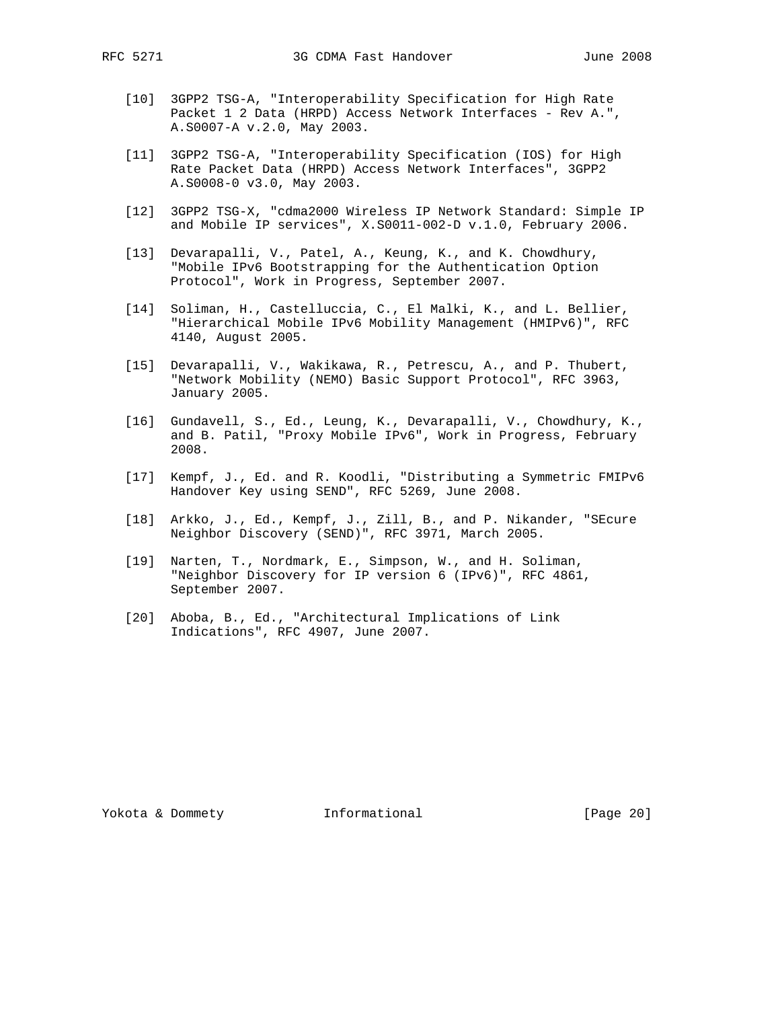- - [10] 3GPP2 TSG-A, "Interoperability Specification for High Rate Packet 1 2 Data (HRPD) Access Network Interfaces - Rev A.", A.S0007-A v.2.0, May 2003.
	- [11] 3GPP2 TSG-A, "Interoperability Specification (IOS) for High Rate Packet Data (HRPD) Access Network Interfaces", 3GPP2 A.S0008-0 v3.0, May 2003.
	- [12] 3GPP2 TSG-X, "cdma2000 Wireless IP Network Standard: Simple IP and Mobile IP services", X.S0011-002-D v.1.0, February 2006.
	- [13] Devarapalli, V., Patel, A., Keung, K., and K. Chowdhury, "Mobile IPv6 Bootstrapping for the Authentication Option Protocol", Work in Progress, September 2007.
	- [14] Soliman, H., Castelluccia, C., El Malki, K., and L. Bellier, "Hierarchical Mobile IPv6 Mobility Management (HMIPv6)", RFC 4140, August 2005.
	- [15] Devarapalli, V., Wakikawa, R., Petrescu, A., and P. Thubert, "Network Mobility (NEMO) Basic Support Protocol", RFC 3963, January 2005.
	- [16] Gundavell, S., Ed., Leung, K., Devarapalli, V., Chowdhury, K., and B. Patil, "Proxy Mobile IPv6", Work in Progress, February 2008.
	- [17] Kempf, J., Ed. and R. Koodli, "Distributing a Symmetric FMIPv6 Handover Key using SEND", RFC 5269, June 2008.
	- [18] Arkko, J., Ed., Kempf, J., Zill, B., and P. Nikander, "SEcure Neighbor Discovery (SEND)", RFC 3971, March 2005.
	- [19] Narten, T., Nordmark, E., Simpson, W., and H. Soliman, "Neighbor Discovery for IP version 6 (IPv6)", RFC 4861, September 2007.
	- [20] Aboba, B., Ed., "Architectural Implications of Link Indications", RFC 4907, June 2007.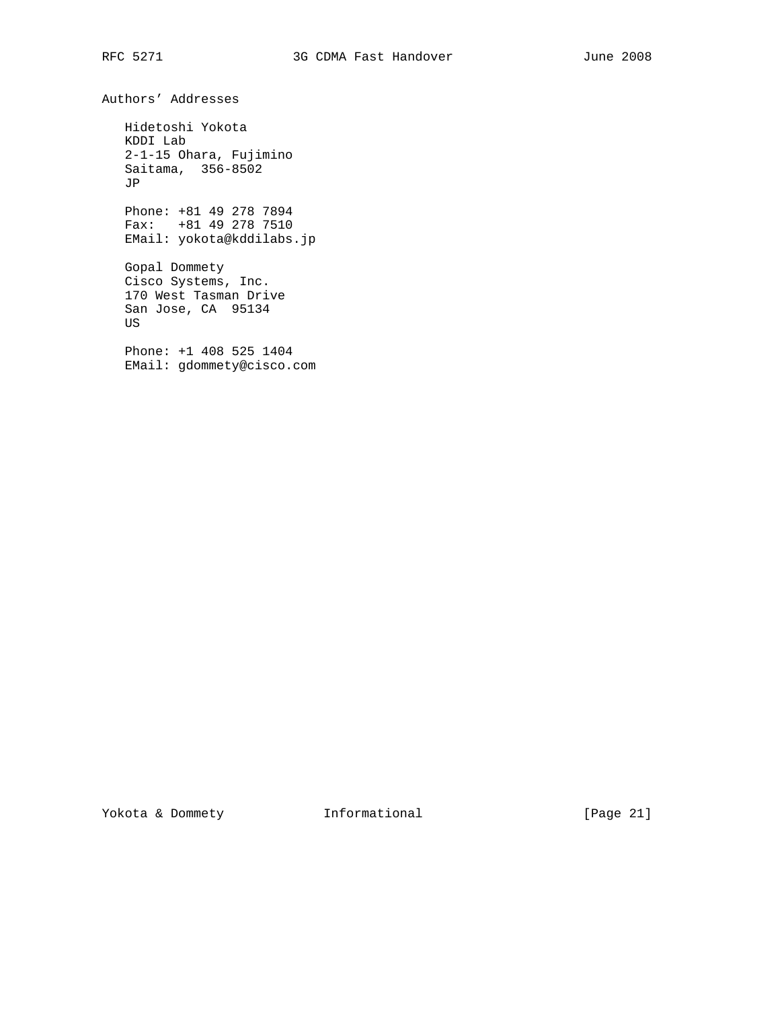Authors' Addresses

 Hidetoshi Yokota KDDI Lab 2-1-15 Ohara, Fujimino Saitama, 356-8502 JP

 Phone: +81 49 278 7894 Fax: +81 49 278 7510 EMail: yokota@kddilabs.jp

 Gopal Dommety Cisco Systems, Inc. 170 West Tasman Drive San Jose, CA 95134 US

 Phone: +1 408 525 1404 EMail: gdommety@cisco.com